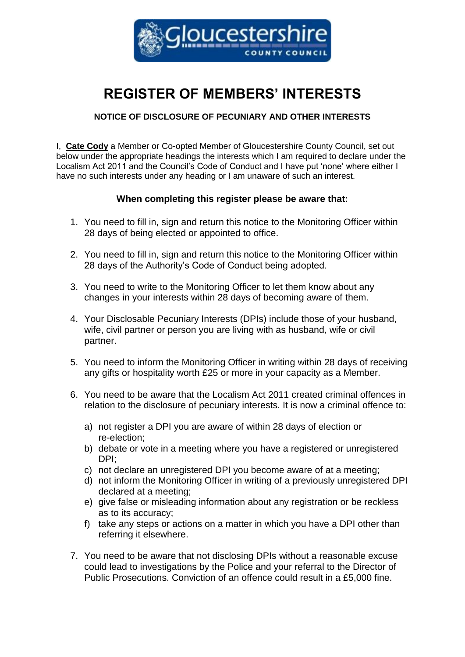

# **REGISTER OF MEMBERS' INTERESTS**

# **NOTICE OF DISCLOSURE OF PECUNIARY AND OTHER INTERESTS**

I, **Cate Cody** a Member or Co-opted Member of Gloucestershire County Council, set out below under the appropriate headings the interests which I am required to declare under the Localism Act 2011 and the Council's Code of Conduct and I have put 'none' where either I have no such interests under any heading or I am unaware of such an interest.

# **When completing this register please be aware that:**

- 1. You need to fill in, sign and return this notice to the Monitoring Officer within 28 days of being elected or appointed to office.
- 2. You need to fill in, sign and return this notice to the Monitoring Officer within 28 days of the Authority's Code of Conduct being adopted.
- 3. You need to write to the Monitoring Officer to let them know about any changes in your interests within 28 days of becoming aware of them.
- 4. Your Disclosable Pecuniary Interests (DPIs) include those of your husband, wife, civil partner or person you are living with as husband, wife or civil partner.
- 5. You need to inform the Monitoring Officer in writing within 28 days of receiving any gifts or hospitality worth £25 or more in your capacity as a Member.
- 6. You need to be aware that the Localism Act 2011 created criminal offences in relation to the disclosure of pecuniary interests. It is now a criminal offence to:
	- a) not register a DPI you are aware of within 28 days of election or re-election;
	- b) debate or vote in a meeting where you have a registered or unregistered DPI;
	- c) not declare an unregistered DPI you become aware of at a meeting;
	- d) not inform the Monitoring Officer in writing of a previously unregistered DPI declared at a meeting;
	- e) give false or misleading information about any registration or be reckless as to its accuracy;
	- f) take any steps or actions on a matter in which you have a DPI other than referring it elsewhere.
- 7. You need to be aware that not disclosing DPIs without a reasonable excuse could lead to investigations by the Police and your referral to the Director of Public Prosecutions. Conviction of an offence could result in a £5,000 fine.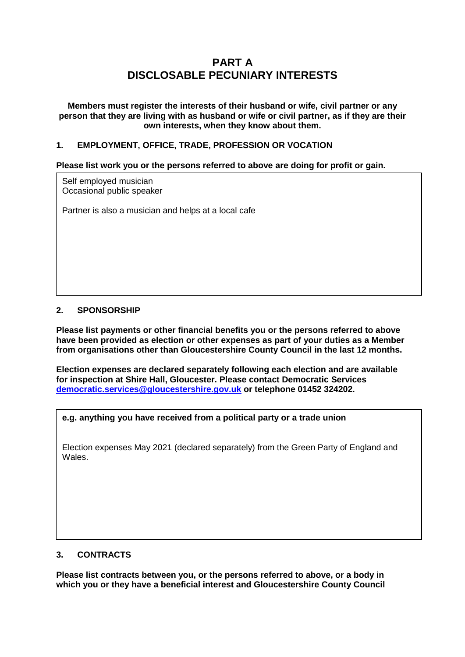# **PART A DISCLOSABLE PECUNIARY INTERESTS**

**Members must register the interests of their husband or wife, civil partner or any person that they are living with as husband or wife or civil partner, as if they are their own interests, when they know about them.**

## **1. EMPLOYMENT, OFFICE, TRADE, PROFESSION OR VOCATION**

#### **Please list work you or the persons referred to above are doing for profit or gain.**

Self employed musician Occasional public speaker

Partner is also a musician and helps at a local cafe

## **2. SPONSORSHIP**

**Please list payments or other financial benefits you or the persons referred to above have been provided as election or other expenses as part of your duties as a Member from organisations other than Gloucestershire County Council in the last 12 months.** 

**Election expenses are declared separately following each election and are available for inspection at Shire Hall, Gloucester. Please contact Democratic Services [democratic.services@gloucestershire.gov.uk](mailto:democratic.services@gloucestershire.gov.uk) or telephone 01452 324202.**

#### **e.g. anything you have received from a political party or a trade union**

Election expenses May 2021 (declared separately) from the Green Party of England and Wales.

#### **3. CONTRACTS**

**Please list contracts between you, or the persons referred to above, or a body in which you or they have a beneficial interest and Gloucestershire County Council**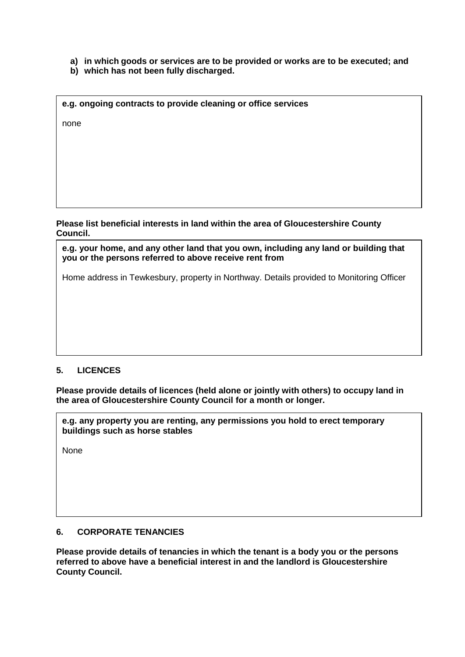- **a) in which goods or services are to be provided or works are to be executed; and**
- **b) which has not been fully discharged.**

| e.g. ongoing contracts to provide cleaning or office services |  |  |  |  |  |  |
|---------------------------------------------------------------|--|--|--|--|--|--|
| none                                                          |  |  |  |  |  |  |
|                                                               |  |  |  |  |  |  |
|                                                               |  |  |  |  |  |  |
|                                                               |  |  |  |  |  |  |

#### **Please list beneficial interests in land within the area of Gloucestershire County Council.**

**e.g. your home, and any other land that you own, including any land or building that you or the persons referred to above receive rent from**

Home address in Tewkesbury, property in Northway. Details provided to Monitoring Officer

# **5. LICENCES**

**4. LAND** 

**Please provide details of licences (held alone or jointly with others) to occupy land in the area of Gloucestershire County Council for a month or longer.** 

**e.g. any property you are renting, any permissions you hold to erect temporary buildings such as horse stables**

None

#### **6. CORPORATE TENANCIES**

**Please provide details of tenancies in which the tenant is a body you or the persons referred to above have a beneficial interest in and the landlord is Gloucestershire County Council.**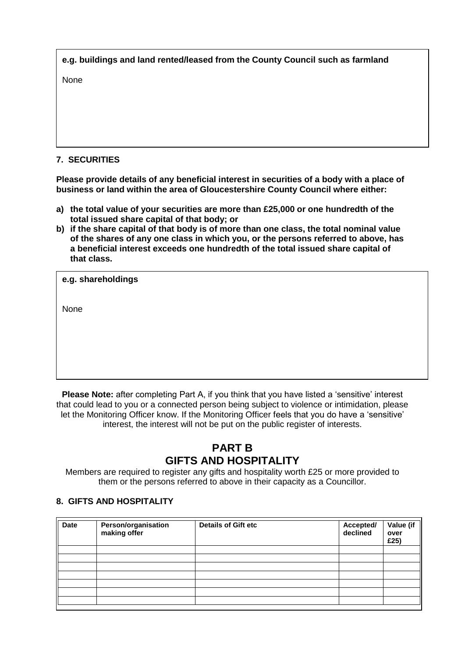| e.g. buildings and land rented/leased from the County Council such as farmland |  |
|--------------------------------------------------------------------------------|--|
| <b>None</b>                                                                    |  |
|                                                                                |  |

# **7. SECURITIES**

**Please provide details of any beneficial interest in securities of a body with a place of business or land within the area of Gloucestershire County Council where either:**

- **a) the total value of your securities are more than £25,000 or one hundredth of the total issued share capital of that body; or**
- **b) if the share capital of that body is of more than one class, the total nominal value of the shares of any one class in which you, or the persons referred to above, has a beneficial interest exceeds one hundredth of the total issued share capital of that class.**

None

**Please Note:** after completing Part A, if you think that you have listed a 'sensitive' interest that could lead to you or a connected person being subject to violence or intimidation, please let the Monitoring Officer know. If the Monitoring Officer feels that you do have a 'sensitive' interest, the interest will not be put on the public register of interests.

# **PART B GIFTS AND HOSPITALITY**

Members are required to register any gifts and hospitality worth £25 or more provided to them or the persons referred to above in their capacity as a Councillor.

#### **8. GIFTS AND HOSPITALITY**

| <b>Date</b> | Person/organisation<br>making offer | <b>Details of Gift etc</b> | Accepted/<br>declined | Value (if<br>over<br>£25) |
|-------------|-------------------------------------|----------------------------|-----------------------|---------------------------|
|             |                                     |                            |                       |                           |
|             |                                     |                            |                       |                           |
|             |                                     |                            |                       |                           |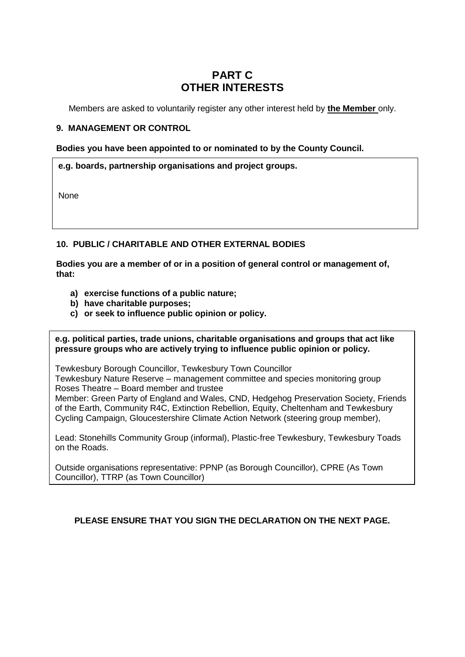# **PART C OTHER INTERESTS**

Members are asked to voluntarily register any other interest held by **the Member** only.

## **9. MANAGEMENT OR CONTROL**

**Bodies you have been appointed to or nominated to by the County Council.**

#### **e.g. boards, partnership organisations and project groups.**

None

## **10. PUBLIC / CHARITABLE AND OTHER EXTERNAL BODIES**

**Bodies you are a member of or in a position of general control or management of, that:** 

- **a) exercise functions of a public nature;**
- **b) have charitable purposes;**
- **c) or seek to influence public opinion or policy.**

**e.g. political parties, trade unions, charitable organisations and groups that act like pressure groups who are actively trying to influence public opinion or policy.** 

Tewkesbury Borough Councillor, Tewkesbury Town Councillor

Tewkesbury Nature Reserve – management committee and species monitoring group Roses Theatre – Board member and trustee

Member: Green Party of England and Wales, CND, Hedgehog Preservation Society, Friends of the Earth, Community R4C, Extinction Rebellion, Equity, Cheltenham and Tewkesbury Cycling Campaign, Gloucestershire Climate Action Network (steering group member),

Lead: Stonehills Community Group (informal), Plastic-free Tewkesbury, Tewkesbury Toads on the Roads.

Outside organisations representative: PPNP (as Borough Councillor), CPRE (As Town Councillor), TTRP (as Town Councillor)

#### **PLEASE ENSURE THAT YOU SIGN THE DECLARATION ON THE NEXT PAGE.**